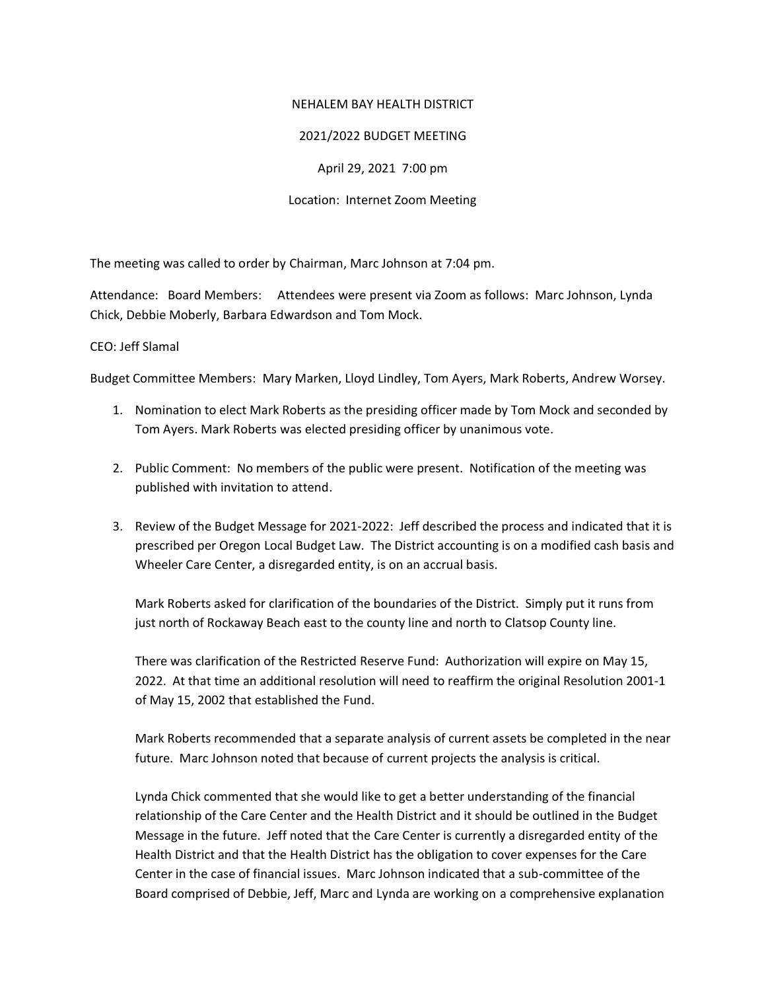#### NEHALEM BAY HEALTH DISTRICT

## 2021/2022 BUDGET MEETING

April 29, 2021 7:00 pm

Location: Internet Zoom Meeting

The meeting was called to order by Chairman, Marc Johnson at 7:04 pm.

Attendance: Board Members: Attendees were present via Zoom as follows: Marc Johnson, Lynda Chick, Debbie Moberly, Barbara Edwardson and Tom Mock.

#### CEO: Jeff Slamal

Budget Committee Members: Mary Marken, Lloyd Lindley, Tom Ayers, Mark Roberts, Andrew Worsey.

- 1. Nomination to elect Mark Roberts as the presiding officer made by Tom Mock and seconded by Tom Ayers. Mark Roberts was elected presiding officer by unanimous vote.
- 2. Public Comment: No members of the public were present. Notification of the meeting was published with invitation to attend.
- 3. Review of the Budget Message for 2021-2022: Jeff described the process and indicated that it is prescribed per Oregon Local Budget Law. The District accounting is on a modified cash basis and Wheeler Care Center, a disregarded entity, is on an accrual basis.

Mark Roberts asked for clarification of the boundaries of the District. Simply put it runs from just north of Rockaway Beach east to the county line and north to Clatsop County line.

There was clarification of the Restricted Reserve Fund: Authorization will expire on May 15, 2022. At that time an additional resolution will need to reaffirm the original Resolution 2001-1 of May 15, 2002 that established the Fund.

Mark Roberts recommended that a separate analysis of current assets be completed in the near future. Marc Johnson noted that because of current projects the analysis is critical.

Lynda Chick commented that she would like to get a better understanding of the financial relationship of the Care Center and the Health District and it should be outlined in the Budget Message in the future. Jeff noted that the Care Center is currently a disregarded entity of the Health District and that the Health District has the obligation to cover expenses for the Care Center in the case of financial issues. Marc Johnson indicated that a sub-committee of the Board comprised of Debbie, Jeff, Marc and Lynda are working on a comprehensive explanation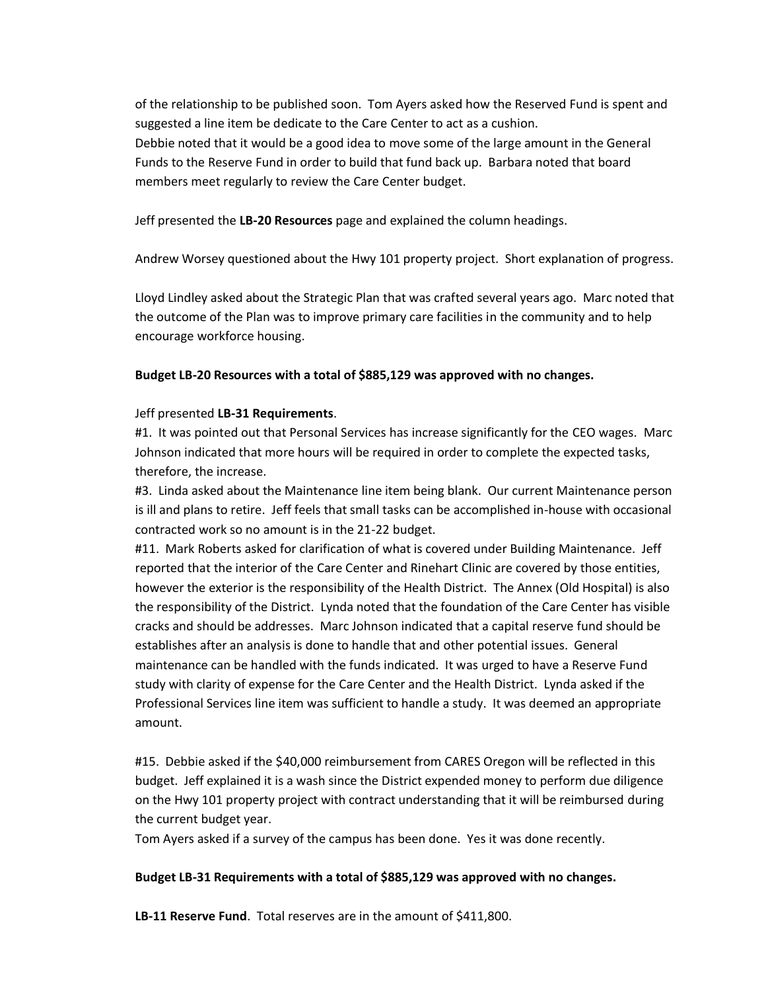of the relationship to be published soon. Tom Ayers asked how the Reserved Fund is spent and suggested a line item be dedicate to the Care Center to act as a cushion. Debbie noted that it would be a good idea to move some of the large amount in the General Funds to the Reserve Fund in order to build that fund back up. Barbara noted that board members meet regularly to review the Care Center budget.

Jeff presented the **LB-20 Resources** page and explained the column headings.

Andrew Worsey questioned about the Hwy 101 property project. Short explanation of progress.

Lloyd Lindley asked about the Strategic Plan that was crafted several years ago. Marc noted that the outcome of the Plan was to improve primary care facilities in the community and to help encourage workforce housing.

# **Budget LB-20 Resources with a total of \$885,129 was approved with no changes.**

# Jeff presented **LB-31 Requirements**.

#1. It was pointed out that Personal Services has increase significantly for the CEO wages. Marc Johnson indicated that more hours will be required in order to complete the expected tasks, therefore, the increase.

#3. Linda asked about the Maintenance line item being blank. Our current Maintenance person is ill and plans to retire. Jeff feels that small tasks can be accomplished in-house with occasional contracted work so no amount is in the 21-22 budget.

#11. Mark Roberts asked for clarification of what is covered under Building Maintenance. Jeff reported that the interior of the Care Center and Rinehart Clinic are covered by those entities, however the exterior is the responsibility of the Health District. The Annex (Old Hospital) is also the responsibility of the District. Lynda noted that the foundation of the Care Center has visible cracks and should be addresses. Marc Johnson indicated that a capital reserve fund should be establishes after an analysis is done to handle that and other potential issues. General maintenance can be handled with the funds indicated. It was urged to have a Reserve Fund study with clarity of expense for the Care Center and the Health District. Lynda asked if the Professional Services line item was sufficient to handle a study. It was deemed an appropriate amount.

#15. Debbie asked if the \$40,000 reimbursement from CARES Oregon will be reflected in this budget. Jeff explained it is a wash since the District expended money to perform due diligence on the Hwy 101 property project with contract understanding that it will be reimbursed during the current budget year.

Tom Ayers asked if a survey of the campus has been done. Yes it was done recently.

## **Budget LB-31 Requirements with a total of \$885,129 was approved with no changes.**

**LB-11 Reserve Fund**. Total reserves are in the amount of \$411,800.